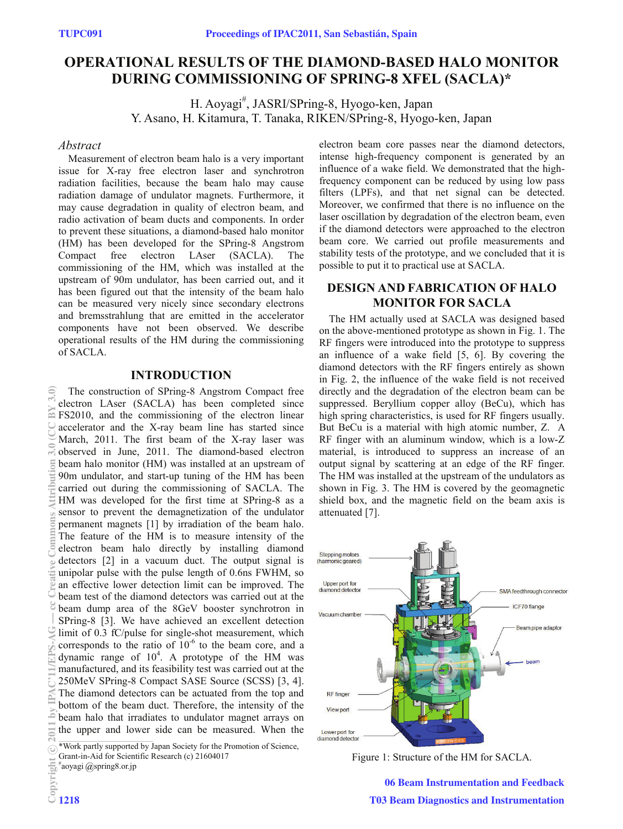# **OPERATIONAL RESULTS OF THE DIAMOND-BASED HALO MONITOR DURING COMMISSIONING OF SPRING-8 XFEL (SACLA)\***

H. Aoyagi<sup>#</sup>, JASRI/SPring-8, Hyogo-ken, Japan Y. Asano, H. Kitamura, T. Tanaka, RIKEN/SPring-8, Hyogo-ken, Japan

## *Abstract*

Measurement of electron beam halo is a very important issue for X-ray free electron laser and synchrotron radiation facilities, because the beam halo may cause radiation damage of undulator magnets. Furthermore, it may cause degradation in quality of electron beam, and radio activation of beam ducts and components. In order to prevent these situations, a diamond-based halo monitor (HM) has been developed for the SPring-8 Angstrom electron LAser (SACLA). The commissioning of the HM, which was installed at the upstream of 90m undulator, has been carried out, and it has been figured out that the intensity of the beam halo can be measured very nicely since secondary electrons and bremsstrahlung that are emitted in the accelerator components have not been observed. We describe operational results of the HM during the commissioning of SACLA.

## **INTRODUCTION**

The construction of SPring-8 Angstrom Compact free electron LAser (SACLA) has been completed since FS2010, and the commissioning of the electron linear accelerator and the X-ray beam line has started since March, 2011. The first beam of the X-ray laser was observed in June, 2011. The diamond-based electron beam halo monitor (HM) was installed at an upstream of 90m undulator, and start-up tuning of the HM has been carried out during the commissioning of SACLA. The HM was developed for the first time at SPring-8 as a sensor to prevent the demagnetization of the undulator permanent magnets [1] by irradiation of the beam halo. The feature of the HM is to measure intensity of the electron beam halo directly by installing diamond detectors [2] in a vacuum duct. The output signal is unipolar pulse with the pulse length of 0.6ns FWHM, so an effective lower detection limit can be improved. The beam test of the diamond detectors was carried out at the beam dump area of the 8GeV booster synchrotron in SPring-8 [3]. We have achieved an excellent detection limit of 0.3 fC/pulse for single-shot measurement, which corresponds to the ratio of  $10^{-6}$  to the beam core, and a dynamic range of  $10^4$ . A prototype of the HM was manufactured, and its feasibility test was carried out at the 250MeV SPring-8 Compact SASE Source (SCSS) [3, 4]. The diamond detectors can be actuated from the top and bottom of the beam duct. Therefore, the intensity of the beam halo that irradiates to undulator magnet arrays on the upper and lower side can be measured. When the (0) common attribution 3.0 cc commons attention 3.0 cc d' m 2.1 cc d' m 3.1 cc d' m 3.1 cc d' m 3.1 cc d' m 3.1 cc d' m 3.1 cc d' m 3.1 cc d' m 3.1 cc d' m 3.1 cc d' m 3.1 cc d' m 3.1 cc d' m 3.1 cc d' m 3.1 cc d' m 3.1 c

1218

electron beam core passes near the diamond detectors, intense high-frequency component is generated by an influence of a wake field. We demonstrated that the highfrequency component can be reduced by using low pass filters (LPFs), and that net signal can be detected. Moreover, we confirmed that there is no influence on the laser oscillation by degradation of the electron beam, even if the diamond detectors were approached to the electron beam core. We carried out profile measurements and stability tests of the prototype, and we concluded that it is possible to put it to practical use at SACLA.

## **DESIGN AND FABRICATION OF HALO MONITOR FOR SACLA**

The HM actually used at SACLA was designed based on the above-mentioned prototype as shown in Fig. 1. The RF fingers were introduced into the prototype to suppress an influence of a wake field [5, 6]. By covering the diamond detectors with the RF fingers entirely as shown in Fig. 2, the influence of the wake field is not received directly and the degradation of the electron beam can be suppressed. Beryllium copper alloy (BeCu), which has high spring characteristics, is used for RF fingers usually. But BeCu is a material with high atomic number, Z. A RF finger with an aluminum window, which is a low-Z material, is introduced to suppress an increase of an output signal by scattering at an edge of the RF finger. The HM was installed at the upstream of the undulators as shown in Fig. 3. The HM is covered by the geomagnetic shield box, and the magnetic field on the beam axis is attenuated [7].



Figure 1: Structure of the HM for SACLA.

06 Beam Instrumentation and Feedback T03 Beam Diagnostics and Instrumentation

<sup>\*</sup>Work partly supported by Japan Society for the Promotion of Science,

Grant-in-Aid for Scientific Research (c) 21604017

<sup>#</sup>aoyagi @spring8.or.jp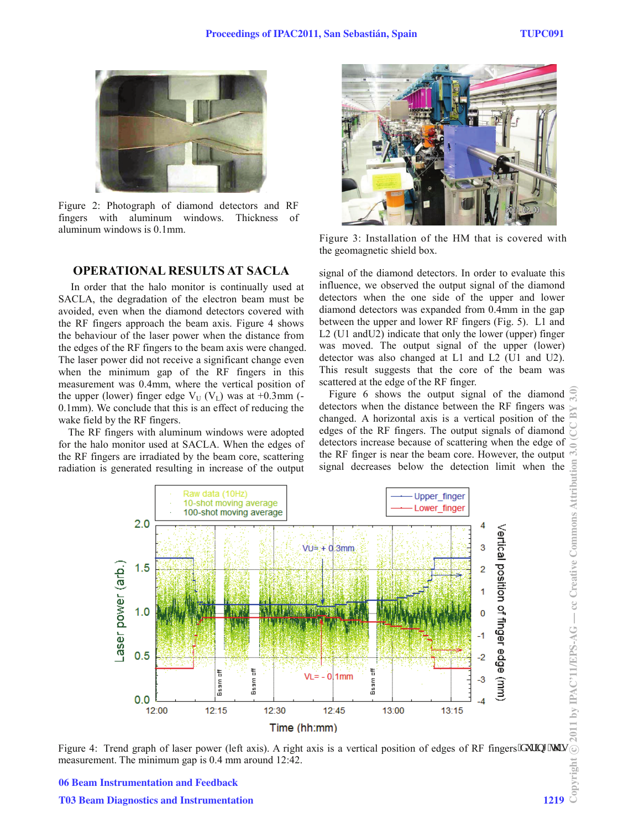

Figure 2: Photograph of diamond detectors and RF fingers with aluminum windows. Thickness aluminum windows is 0.1mm.

## **OPERATIONAL RESULTS AT SACLA**

In order that the halo monitor is continually used at SACLA, the degradation of the electron beam must be avoided, even when the diamond detectors covered with the RF fingers approach the beam axis. Figure 4 shows the behaviour of the laser power when the distance from the edges of the RF fingers to the beam axis were changed. The laser power did not receive a significant change even when the minimum gap of the RF fingers in this measurement was 0.4mm, where the vertical position of the upper (lower) finger edge  $V_U$  ( $V_L$ ) was at +0.3mm (-0.1mm). We conclude that this is an effect of reducing the wake field by the RF fingers.

The RF fingers with aluminum windows were adopted for the halo monitor used at SACLA. When the edges of the RF fingers are irradiated by the beam core, scattering radiation is generated resulting in increase of the output



Figure 3: Installation of the HM that is covered with the geomagnetic shield box.

signal of the diamond detectors. In order to evaluate this influence, we observed the output signal of the diamond detectors when the one side of the upper and lower diamond detectors was expanded from 0.4mm in the gap between the upper and lower RF fingers (Fig. 5). L1 and L2 (U1 andU2) indicate that only the lower (upper) finger was moved. The output signal of the upper (lower) detector was also changed at L1 and L2 (U1 and U2). This result suggests that the core of the beam was scattered at the edge of the RF finger.

Figure 6 shows the output signal of the diamond detectors when the distance between the RF fingers was changed. A horizontal axis is a vertical position of the edges of the RF fingers. The output signals of diamond detectors increase because of scattering when the edge of the RF finger is near the beam core. However, the output - cc Creative Commons Attribution 3. signal decreases below the detection limit when the



© 2011 by IPAC'11/EPS-AG Figure 4: Trend graph of laser power (left axis). A right axis is a vertical position of edges of RF fingers  $\bar{f}$  w.kpi  $\bar{f}$  w.kpi measurement. The minimum gap is 0.4 mm around 12:42.

06 Beam Instrumentation and Feedback